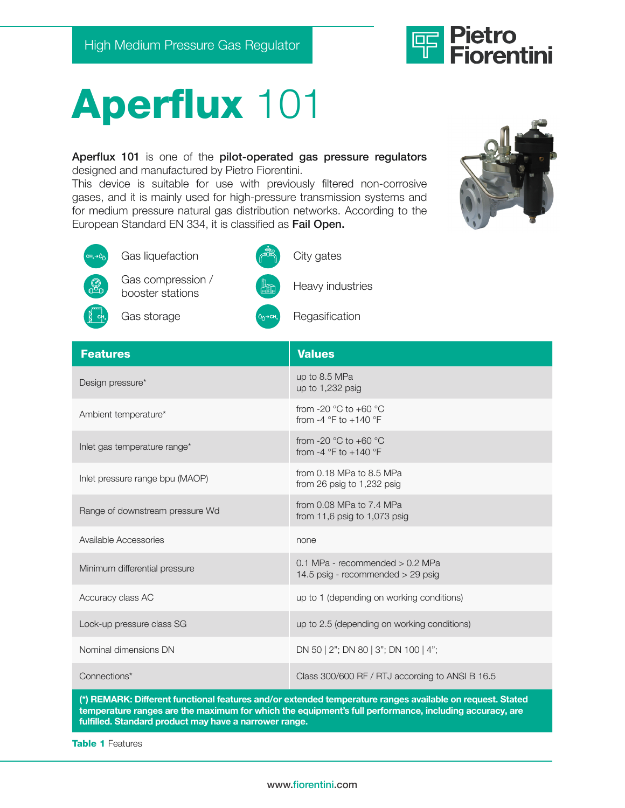

## Aperflux 101

Aperflux 101 is one of the pilot-operated gas pressure regulators designed and manufactured by Pietro Fiorentini.

This device is suitable for use with previously filtered non-corrosive gases, and it is mainly used for high-pressure transmission systems and for medium pressure natural gas distribution networks. According to the European Standard EN 334, it is classified as Fail Open.





| Design pressure*                | up to 8.5 MPa<br>up to $1,232$ psig                                                  |
|---------------------------------|--------------------------------------------------------------------------------------|
| Ambient temperature*            | from -20 $^{\circ}$ C to +60 $^{\circ}$ C<br>from -4 $\degree$ F to +140 $\degree$ F |
| Inlet gas temperature range*    | from -20 $^{\circ}$ C to +60 $^{\circ}$ C<br>from -4 $\degree$ F to +140 $\degree$ F |
| Inlet pressure range bpu (MAOP) | from $0.18$ MPa to 8.5 MPa<br>from 26 psig to 1,232 psig                             |
| Range of downstream pressure Wd | from $0.08$ MPa to $7.4$ MPa<br>from 11,6 psig to 1,073 psig                         |
| Available Accessories           | none                                                                                 |
| Minimum differential pressure   | $0.1$ MPa - recommended $> 0.2$ MPa<br>14.5 psig - recommended $>$ 29 psig           |
| Accuracy class AC               | up to 1 (depending on working conditions)                                            |
| Lock-up pressure class SG       | up to 2.5 (depending on working conditions)                                          |
| Nominal dimensions DN           | DN 50   2"; DN 80   3"; DN 100   4";                                                 |
| Connections*                    | Class 300/600 RF / RTJ according to ANSI B 16.5                                      |

(\*) REMARK: Different functional features and/or extended temperature ranges available on request. Stated temperature ranges are the maximum for which the equipment's full performance, including accuracy, are fulfilled. Standard product may have a narrower range.

Table 1 Features